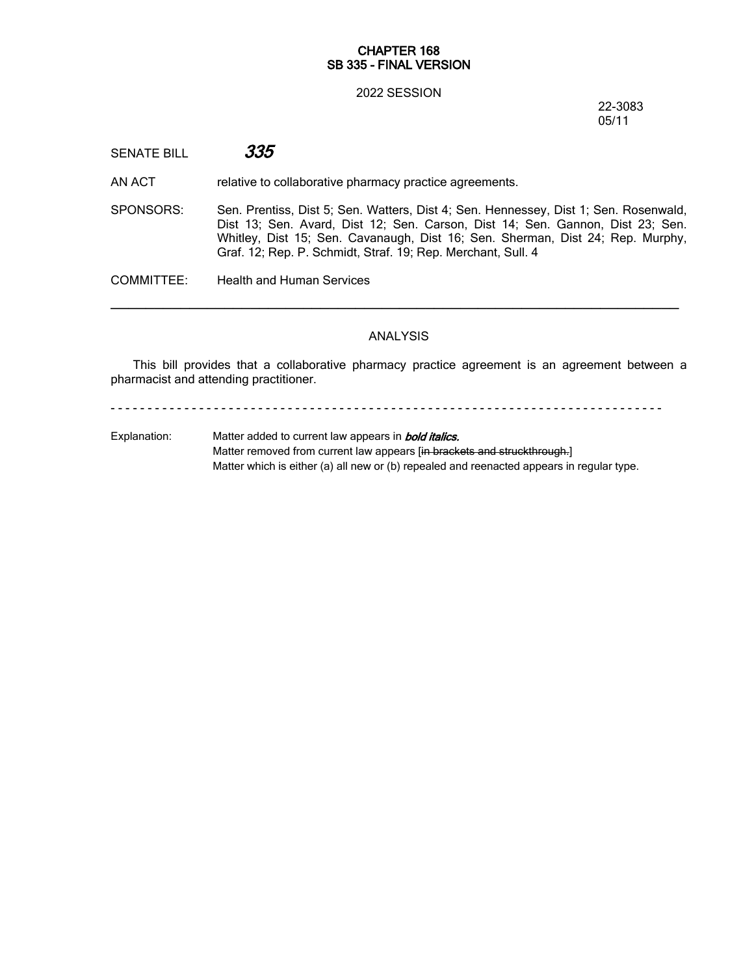### **CHAPTER 168 SB 335 - FINAL VERSION**

#### 2022 SESSION

22-3083 05/11

SENATE BILL *335*

AN ACT relative to collaborative pharmacy practice agreements.

SPONSORS: Sen. Prentiss, Dist 5; Sen. Watters, Dist 4; Sen. Hennessey, Dist 1; Sen. Rosenwald, Dist 13; Sen. Avard, Dist 12; Sen. Carson, Dist 14; Sen. Gannon, Dist 23; Sen. Whitley, Dist 15; Sen. Cavanaugh, Dist 16; Sen. Sherman, Dist 24; Rep. Murphy, Graf. 12; Rep. P. Schmidt, Straf. 19; Rep. Merchant, Sull. 4

COMMITTEE: Health and Human Services

## ANALYSIS

─────────────────────────────────────────────────────────────────

This bill provides that a collaborative pharmacy practice agreement is an agreement between a pharmacist and attending practitioner.

- - - - - - - - - - - - - - - - - - - - - - - - - - - - - - - - - - - - - - - - - - - - - - - - - - - - - - - - - - - - - - - - - - - - - - - - - - -

Explanation: Matter added to current law appears in *bold italics.* Matter removed from current law appears [in brackets and struckthrough.] Matter which is either (a) all new or (b) repealed and reenacted appears in regular type.